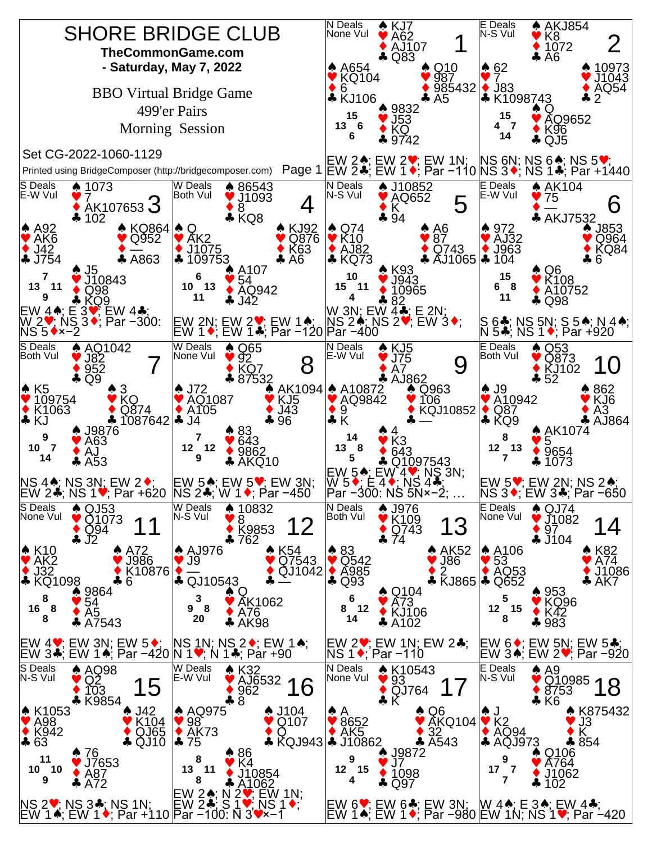